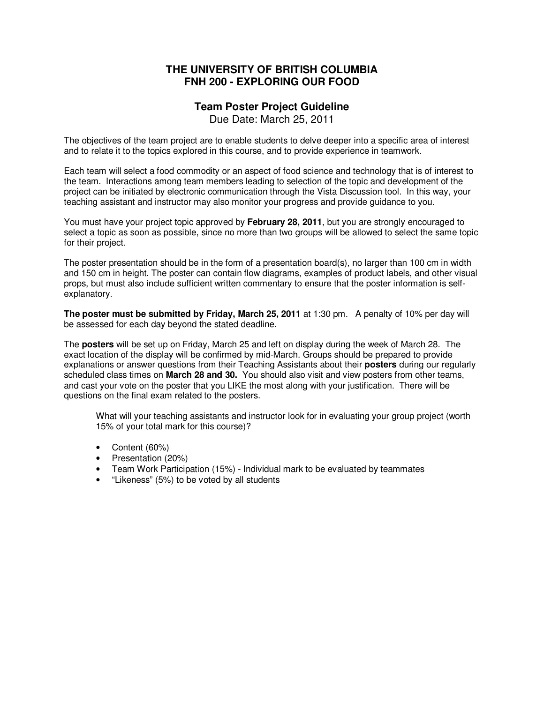# **THE UNIVERSITY OF BRITISH COLUMBIA FNH 200 - EXPLORING OUR FOOD**

# **Team Poster Project Guideline**

Due Date: March 25, 2011

The objectives of the team project are to enable students to delve deeper into a specific area of interest and to relate it to the topics explored in this course, and to provide experience in teamwork.

Each team will select a food commodity or an aspect of food science and technology that is of interest to the team. Interactions among team members leading to selection of the topic and development of the project can be initiated by electronic communication through the Vista Discussion tool. In this way, your teaching assistant and instructor may also monitor your progress and provide guidance to you.

You must have your project topic approved by **February 28, 2011**, but you are strongly encouraged to select a topic as soon as possible, since no more than two groups will be allowed to select the same topic for their project.

The poster presentation should be in the form of a presentation board(s), no larger than 100 cm in width and 150 cm in height. The poster can contain flow diagrams, examples of product labels, and other visual props, but must also include sufficient written commentary to ensure that the poster information is selfexplanatory.

**The poster must be submitted by Friday, March 25, 2011** at 1:30 pm. A penalty of 10% per day will be assessed for each day beyond the stated deadline.

The **posters** will be set up on Friday, March 25 and left on display during the week of March 28. The exact location of the display will be confirmed by mid-March. Groups should be prepared to provide explanations or answer questions from their Teaching Assistants about their **posters** during our regularly scheduled class times on **March 28 and 30.** You should also visit and view posters from other teams, and cast your vote on the poster that you LIKE the most along with your justification. There will be questions on the final exam related to the posters.

What will your teaching assistants and instructor look for in evaluating your group project (worth 15% of your total mark for this course)?

- Content (60%)
- Presentation (20%)
- Team Work Participation (15%) Individual mark to be evaluated by teammates
- "Likeness" (5%) to be voted by all students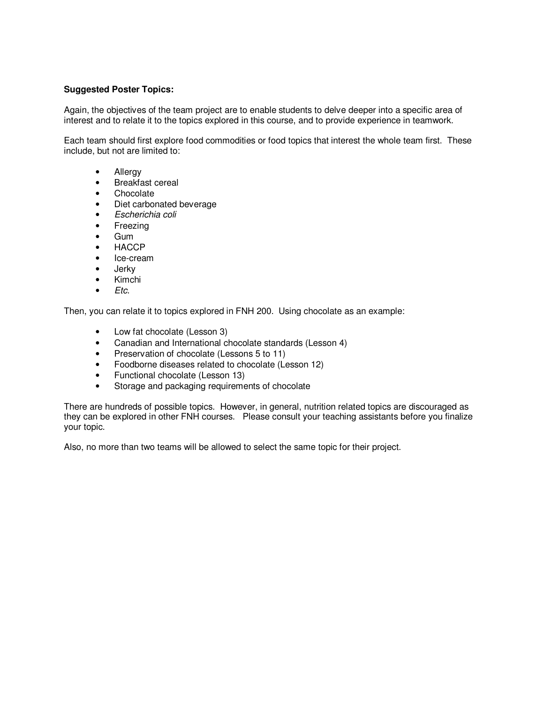### **Suggested Poster Topics:**

Again, the objectives of the team project are to enable students to delve deeper into a specific area of interest and to relate it to the topics explored in this course, and to provide experience in teamwork.

Each team should first explore food commodities or food topics that interest the whole team first. These include, but not are limited to:

- Allergy
- Breakfast cereal
- Chocolate
- Diet carbonated beverage
- Escherichia coli
- Freezing
- Gum
- HACCP
- Ice-cream
- Jerky
- Kimchi
- $\bullet$  *Etc.*

Then, you can relate it to topics explored in FNH 200. Using chocolate as an example:

- Low fat chocolate (Lesson 3)
- Canadian and International chocolate standards (Lesson 4)
- Preservation of chocolate (Lessons 5 to 11)
- Foodborne diseases related to chocolate (Lesson 12)
- Functional chocolate (Lesson 13)
- Storage and packaging requirements of chocolate

There are hundreds of possible topics. However, in general, nutrition related topics are discouraged as they can be explored in other FNH courses. Please consult your teaching assistants before you finalize your topic.

Also, no more than two teams will be allowed to select the same topic for their project.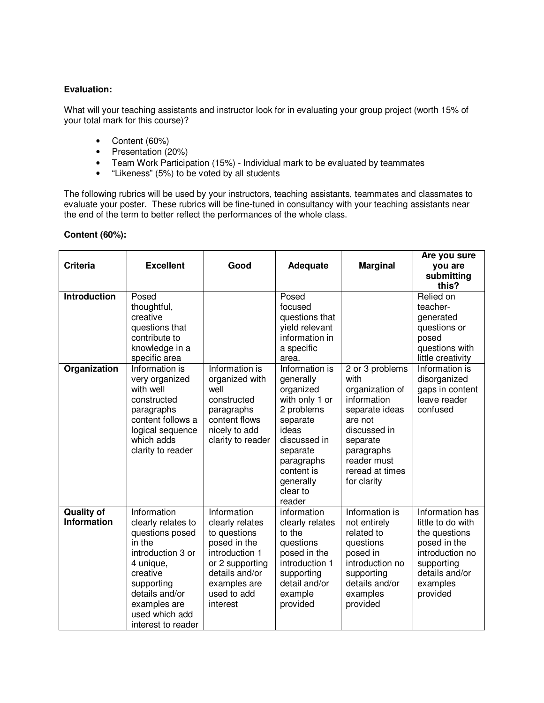### **Evaluation:**

What will your teaching assistants and instructor look for in evaluating your group project (worth 15% of your total mark for this course)?

- Content (60%)
- Presentation (20%)
- Team Work Participation (15%) Individual mark to be evaluated by teammates
- "Likeness" (5%) to be voted by all students

The following rubrics will be used by your instructors, teaching assistants, teammates and classmates to evaluate your poster. These rubrics will be fine-tuned in consultancy with your teaching assistants near the end of the term to better reflect the performances of the whole class.

#### **Content (60%):**

| <b>Criteria</b>                         | <b>Excellent</b>                                                                                                                                                                                     | Good                                                                                                                                                             | <b>Adequate</b>                                                                                                                                                        | <b>Marginal</b>                                                                                                                                                                   | Are you sure<br>you are<br>submitting<br>this?                                                                                                   |
|-----------------------------------------|------------------------------------------------------------------------------------------------------------------------------------------------------------------------------------------------------|------------------------------------------------------------------------------------------------------------------------------------------------------------------|------------------------------------------------------------------------------------------------------------------------------------------------------------------------|-----------------------------------------------------------------------------------------------------------------------------------------------------------------------------------|--------------------------------------------------------------------------------------------------------------------------------------------------|
| <b>Introduction</b><br>Organization     | Posed<br>thoughtful,<br>creative<br>questions that<br>contribute to<br>knowledge in a<br>specific area<br>Information is                                                                             | Information is                                                                                                                                                   | Posed<br>focused<br>questions that<br>yield relevant<br>information in<br>a specific<br>area.<br>Information is                                                        |                                                                                                                                                                                   | Relied on<br>teacher-<br>generated<br>questions or<br>posed<br>questions with<br>little creativity<br>Information is                             |
|                                         | very organized<br>with well<br>constructed<br>paragraphs<br>content follows a<br>logical sequence<br>which adds<br>clarity to reader                                                                 | organized with<br>well<br>constructed<br>paragraphs<br>content flows<br>nicely to add<br>clarity to reader                                                       | generally<br>organized<br>with only 1 or<br>2 problems<br>separate<br>ideas<br>discussed in<br>separate<br>paragraphs<br>content is<br>generally<br>clear to<br>reader | 2 or 3 problems<br>with<br>organization of<br>information<br>separate ideas<br>are not<br>discussed in<br>separate<br>paragraphs<br>reader must<br>reread at times<br>for clarity | disorganized<br>gaps in content<br>leave reader<br>confused                                                                                      |
| <b>Quality of</b><br><b>Information</b> | Information<br>clearly relates to<br>questions posed<br>in the<br>introduction 3 or<br>4 unique,<br>creative<br>supporting<br>details and/or<br>examples are<br>used which add<br>interest to reader | Information<br>clearly relates<br>to questions<br>posed in the<br>introduction 1<br>or 2 supporting<br>details and/or<br>examples are<br>used to add<br>interest | information<br>clearly relates<br>to the<br>questions<br>posed in the<br>introduction 1<br>supporting<br>detail and/or<br>example<br>provided                          | Information is<br>not entirely<br>related to<br>questions<br>posed in<br>introduction no<br>supporting<br>details and/or<br>examples<br>provided                                  | Information has<br>little to do with<br>the questions<br>posed in the<br>introduction no<br>supporting<br>details and/or<br>examples<br>provided |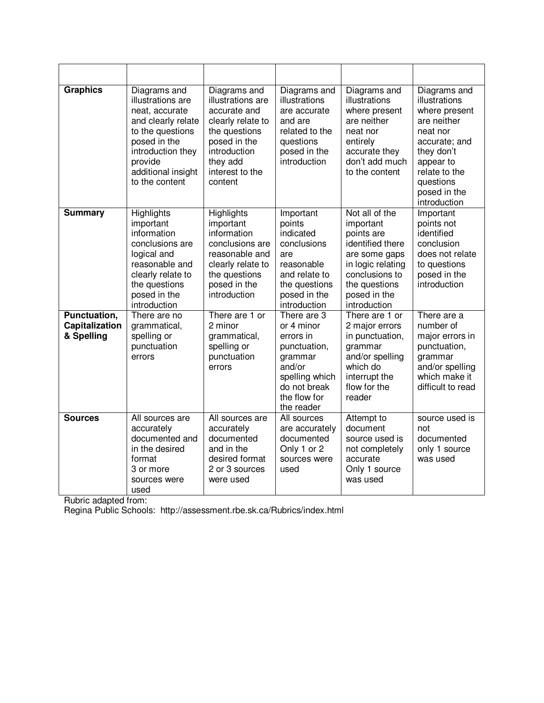| <b>Graphics</b>                              | Diagrams and<br>illustrations are<br>neat, accurate<br>and clearly relate<br>to the questions<br>posed in the<br>introduction they<br>provide<br>additional insight<br>to the content | Diagrams and<br>illustrations are<br>accurate and<br>clearly relate to<br>the questions<br>posed in the<br>introduction<br>they add<br>interest to the<br>content | Diagrams and<br>illustrations<br>are accurate<br>and are<br>related to the<br>questions<br>posed in the<br>introduction                     | Diagrams and<br>illustrations<br>where present<br>are neither<br>neat nor<br>entirely<br>accurate they<br>don't add much<br>to the content                             | Diagrams and<br>illustrations<br>where present<br>are neither<br>neat nor<br>accurate; and<br>they don't<br>appear to<br>relate to the<br>questions<br>posed in the<br>introduction |
|----------------------------------------------|---------------------------------------------------------------------------------------------------------------------------------------------------------------------------------------|-------------------------------------------------------------------------------------------------------------------------------------------------------------------|---------------------------------------------------------------------------------------------------------------------------------------------|------------------------------------------------------------------------------------------------------------------------------------------------------------------------|-------------------------------------------------------------------------------------------------------------------------------------------------------------------------------------|
| <b>Summary</b>                               | Highlights<br>important<br>information<br>conclusions are<br>logical and<br>reasonable and<br>clearly relate to<br>the questions<br>posed in the<br>introduction                      | Highlights<br>important<br>information<br>conclusions are<br>reasonable and<br>clearly relate to<br>the questions<br>posed in the<br>introduction                 | Important<br>points<br>indicated<br>conclusions<br>are<br>reasonable<br>and relate to<br>the questions<br>posed in the<br>introduction      | Not all of the<br>important<br>points are<br>identified there<br>are some gaps<br>in logic relating<br>conclusions to<br>the questions<br>posed in the<br>introduction | Important<br>points not<br>identified<br>conclusion<br>does not relate<br>to questions<br>posed in the<br>introduction                                                              |
| Punctuation,<br>Capitalization<br>& Spelling | There are no<br>grammatical,<br>spelling or<br>punctuation<br>errors                                                                                                                  | There are 1 or<br>2 minor<br>grammatical,<br>spelling or<br>punctuation<br>errors                                                                                 | There are 3<br>or 4 minor<br>errors in<br>punctuation,<br>grammar<br>and/or<br>spelling which<br>do not break<br>the flow for<br>the reader | There are 1 or<br>2 major errors<br>in punctuation,<br>grammar<br>and/or spelling<br>which do<br>interrupt the<br>flow for the<br>reader                               | There are a<br>number of<br>major errors in<br>punctuation,<br>grammar<br>and/or spelling<br>which make it<br>difficult to read                                                     |
| <b>Sources</b>                               | All sources are<br>accurately<br>documented and<br>in the desired<br>format<br>3 or more<br>sources were<br>used                                                                      | All sources are<br>accurately<br>documented<br>and in the<br>desired format<br>2 or 3 sources<br>were used                                                        | All sources<br>are accurately<br>documented<br>Only 1 or 2<br>sources were<br>used                                                          | Attempt to<br>document<br>source used is<br>not completely<br>accurate<br>Only 1 source<br>was used                                                                    | source used is<br>not<br>documented<br>only 1 source<br>was used                                                                                                                    |

Rubric adapted from:

Regina Public Schools: http://assessment.rbe.sk.ca/Rubrics/index.html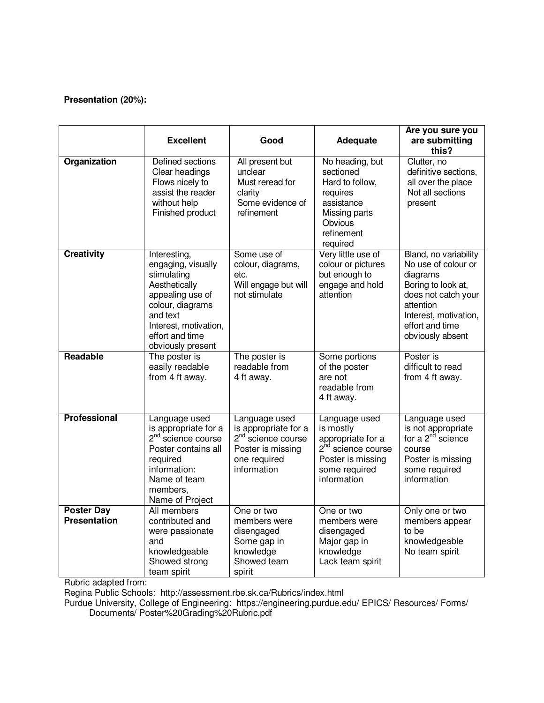## **Presentation (20%):**

|                                          | <b>Excellent</b>                                                                                                                                                                        | Good                                                                                                                        | <b>Adequate</b>                                                                                                                        | Are you sure you<br>are submitting<br>this?                                                                                                                                        |
|------------------------------------------|-----------------------------------------------------------------------------------------------------------------------------------------------------------------------------------------|-----------------------------------------------------------------------------------------------------------------------------|----------------------------------------------------------------------------------------------------------------------------------------|------------------------------------------------------------------------------------------------------------------------------------------------------------------------------------|
| Organization                             | Defined sections<br>Clear headings<br>Flows nicely to<br>assist the reader<br>without help<br>Finished product                                                                          | All present but<br>unclear<br>Must reread for<br>clarity<br>Some evidence of<br>refinement                                  | No heading, but<br>sectioned<br>Hard to follow,<br>requires<br>assistance<br>Missing parts<br>Obvious<br>refinement<br>required        | Clutter, no<br>definitive sections,<br>all over the place<br>Not all sections<br>present                                                                                           |
| <b>Creativity</b>                        | Interesting,<br>engaging, visually<br>stimulating<br>Aesthetically<br>appealing use of<br>colour, diagrams<br>and text<br>Interest, motivation,<br>effort and time<br>obviously present | Some use of<br>colour, diagrams,<br>etc.<br>Will engage but will<br>not stimulate                                           | Very little use of<br>colour or pictures<br>but enough to<br>engage and hold<br>attention                                              | Bland, no variability<br>No use of colour or<br>diagrams<br>Boring to look at,<br>does not catch your<br>attention<br>Interest, motivation,<br>effort and time<br>obviously absent |
| Readable                                 | The poster is<br>easily readable<br>from 4 ft away.                                                                                                                                     | The poster is<br>readable from<br>4 ft away.                                                                                | Some portions<br>of the poster<br>are not<br>readable from<br>4 ft away.                                                               | Poster is<br>difficult to read<br>from 4 ft away.                                                                                                                                  |
| <b>Professional</b>                      | Language used<br>is appropriate for a<br>$2nd$ science course<br>Poster contains all<br>required<br>information:<br>Name of team<br>members,<br>Name of Project                         | Language used<br>is appropriate for a<br>2 <sup>nd</sup> science course<br>Poster is missing<br>one required<br>information | Language used<br>is mostly<br>appropriate for a<br>2 <sup>nd</sup> science course<br>Poster is missing<br>some required<br>information | Language used<br>is not appropriate<br>for a $2^{nd}$ science<br>course<br>Poster is missing<br>some required<br>information                                                       |
| <b>Poster Day</b><br><b>Presentation</b> | All members<br>contributed and<br>were passionate<br>and<br>knowledgeable<br>Showed strong<br>team spirit                                                                               | One or two<br>members were<br>disengaged<br>Some gap in<br>knowledge<br>Showed team<br>spirit                               | One or two<br>members were<br>disengaged<br>Major gap in<br>knowledge<br>Lack team spirit                                              | Only one or two<br>members appear<br>to be<br>knowledgeable<br>No team spirit                                                                                                      |

Rubric adapted from:

Regina Public Schools: http://assessment.rbe.sk.ca/Rubrics/index.html

Purdue University, College of Engineering: https://engineering.purdue.edu/ EPICS/ Resources/ Forms/ Documents/ Poster%20Grading%20Rubric.pdf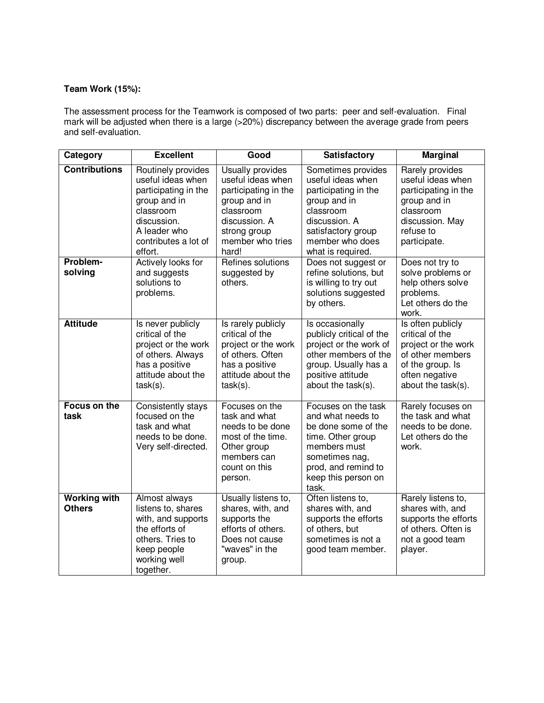## **Team Work (15%):**

The assessment process for the Teamwork is composed of two parts: peer and self-evaluation. Final mark will be adjusted when there is a large (>20%) discrepancy between the average grade from peers and self-evaluation.

| Category                             | <b>Excellent</b>                                                                                                                                               | Good                                                                                                                                                     | <b>Satisfactory</b>                                                                                                                                                           | <b>Marginal</b>                                                                                                                             |
|--------------------------------------|----------------------------------------------------------------------------------------------------------------------------------------------------------------|----------------------------------------------------------------------------------------------------------------------------------------------------------|-------------------------------------------------------------------------------------------------------------------------------------------------------------------------------|---------------------------------------------------------------------------------------------------------------------------------------------|
| <b>Contributions</b>                 | Routinely provides<br>useful ideas when<br>participating in the<br>group and in<br>classroom<br>discussion.<br>A leader who<br>contributes a lot of<br>effort. | Usually provides<br>useful ideas when<br>participating in the<br>group and in<br>classroom<br>discussion. A<br>strong group<br>member who tries<br>hard! | Sometimes provides<br>useful ideas when<br>participating in the<br>group and in<br>classroom<br>discussion. A<br>satisfactory group<br>member who does<br>what is required.   | Rarely provides<br>useful ideas when<br>participating in the<br>group and in<br>classroom<br>discussion. May<br>refuse to<br>participate.   |
| Problem-<br>solving                  | Actively looks for<br>and suggests<br>solutions to<br>problems.                                                                                                | Refines solutions<br>suggested by<br>others.                                                                                                             | Does not suggest or<br>refine solutions, but<br>is willing to try out<br>solutions suggested<br>by others.                                                                    | Does not try to<br>solve problems or<br>help others solve<br>problems.<br>Let others do the<br>work.                                        |
| <b>Attitude</b>                      | Is never publicly<br>critical of the<br>project or the work<br>of others. Always<br>has a positive<br>attitude about the<br>$task(s)$ .                        | Is rarely publicly<br>critical of the<br>project or the work<br>of others. Often<br>has a positive<br>attitude about the<br>$task(s)$ .                  | Is occasionally<br>publicly critical of the<br>project or the work of<br>other members of the<br>group. Usually has a<br>positive attitude<br>about the task(s).              | Is often publicly<br>critical of the<br>project or the work<br>of other members<br>of the group. Is<br>often negative<br>about the task(s). |
| Focus on the<br>task                 | Consistently stays<br>focused on the<br>task and what<br>needs to be done.<br>Very self-directed.                                                              | Focuses on the<br>task and what<br>needs to be done<br>most of the time.<br>Other group<br>members can<br>count on this<br>person.                       | Focuses on the task<br>and what needs to<br>be done some of the<br>time. Other group<br>members must<br>sometimes nag,<br>prod, and remind to<br>keep this person on<br>task. | Rarely focuses on<br>the task and what<br>needs to be done.<br>Let others do the<br>work.                                                   |
| <b>Working with</b><br><b>Others</b> | Almost always<br>listens to, shares<br>with, and supports<br>the efforts of<br>others. Tries to<br>keep people<br>working well<br>together.                    | Usually listens to,<br>shares, with, and<br>supports the<br>efforts of others.<br>Does not cause<br>"waves" in the<br>group.                             | Often listens to,<br>shares with, and<br>supports the efforts<br>of others, but<br>sometimes is not a<br>good team member.                                                    | Rarely listens to,<br>shares with, and<br>supports the efforts<br>of others. Often is<br>not a good team<br>player.                         |